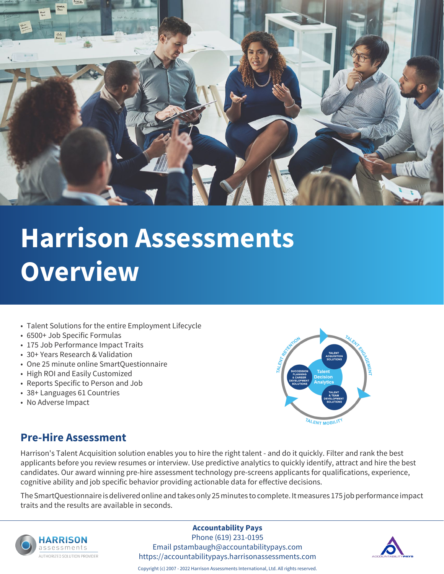

- Talent Solutions for the entire Employment Lifecycle
- 6500+ Job Specific Formulas
- 175 Job Performance Impact Traits
- 30+ Years Research & Validation
- One 25 minute online SmartQuestionnaire
- High ROI and Easily Customized
- Reports Specific to Person and Job
- 38+ Languages 61 Countries
- No Adverse Impact



### **Pre-Hire Assessment**

Harrison's Talent Acquisition solution enables you to hire the right talent - and do it quickly. Filter and rank the best applicants before you review resumes or interview. Use predictive analytics to quickly identify, attract and hire the best candidates. Our award winning pre-hire assessment technology pre-screens applicants for qualifications, experience, cognitive ability and job specific behavior providing actionable data for effective decisions.

The SmartQuestionnaire is delivered online and takes only 25 minutes to complete. It measures 175 job performance impact traits and the results are available in seconds.



#### **Accountability Pays**

Phone (619) 231-0195 Email pstambaugh@accountabilitypays.com https://accountabilitypays.harrisonassessments.com

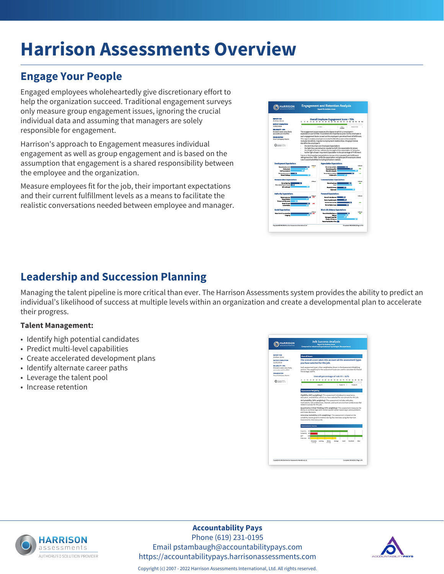# **Engage Your People**

Engaged employees wholeheartedly give discretionary effort to help the organization succeed. Traditional engagement surveys only measure group engagement issues, ignoring the crucial individual data and assuming that managers are solely responsible for engagement.

Harrison's approach to Engagement measures individual engagement as well as group engagement and is based on the assumption that engagement is a shared responsibility between the employee and the organization.

Measure employees fit for the job, their important expectations and their current fulfillment levels as a means to facilitate the realistic conversations needed between employee and manager.



# **Leadership and Succession Planning**

Managing the talent pipeline is more critical than ever. The Harrison Assessments system provides the ability to predict an individual's likelihood of success at multiple levels within an organization and create a developmental plan to accelerate their progress.

#### **Talent Management:**

- Identify high potential candidates
- Predict multi-level capabilities
- Create accelerated development plans
- Identify alternate career paths
- Leverage the talent pool
- Increase retention





### **Accountability Pays**

Phone (619) 231-0195 Email pstambaugh@accountabilitypays.com https://accountabilitypays.harrisonassessments.com



Copyright (c) 2007 - 2022 Harrison Assessments International, Ltd. All rights reserved.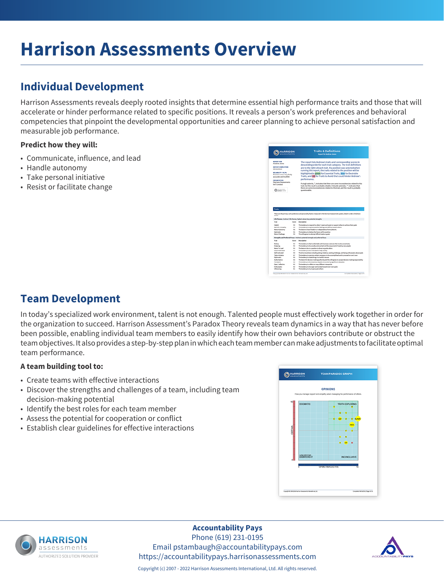# **Individual Development**

Harrison Assessments reveals deeply rooted insights that determine essential high performance traits and those that will accelerate or hinder performance related to specific positions. It reveals a person's work preferences and behavioral competencies that pinpoint the developmental opportunities and career planning to achieve personal satisfaction and measurable job performance.

#### **Predict how they will:**

- Communicate, influence, and lead
- Handle autonomy
- Take personal initiative
- Resist or facilitate change



### **Team Development**

In today's specialized work environment, talent is not enough. Talented people must effectively work together in order for the organization to succeed. Harrison Assessment's Paradox Theory reveals team dynamics in a way that has never before been possible, enabling individual team members to easily identify how their own behaviors contribute or obstruct the team objectives. It also provides a step-by-step plan in which each team member can make adjustments to facilitate optimal team performance.

#### **A team building tool to:**

- Create teams with effective interactions
- Discover the strengths and challenges of a team, including team decision-making potential
- Identify the best roles for each team member
- Assess the potential for cooperation or conflict
- Establish clear guidelines for effective interactions

|                |                  | <b>OPINIONS</b>                                                                                |  |
|----------------|------------------|------------------------------------------------------------------------------------------------|--|
|                |                  | How you manage rapport and empethy when managing the performance of others.                    |  |
| 10             | <b>DOGMATIC</b>  | TRUTH EXPLORING<br>۰<br>٠<br>۰<br>×.<br><b>E-BJON</b><br><b>OW</b><br>$\overline{\phantom{a}}$ |  |
| <b>CERTAIN</b> |                  | HOS<br>г<br><b>Second Excel</b><br>×                                                           |  |
| ń              | <b>UNCERTAIN</b> | $x - p$<br>۰<br><b>INCONCLUSIVE</b>                                                            |  |
|                |                  | OPEN/REFLECTIVE<br>10                                                                          |  |
|                |                  |                                                                                                |  |



#### **Accountability Pays**

Phone (619) 231-0195 Email pstambaugh@accountabilitypays.com https://accountabilitypays.harrisonassessments.com

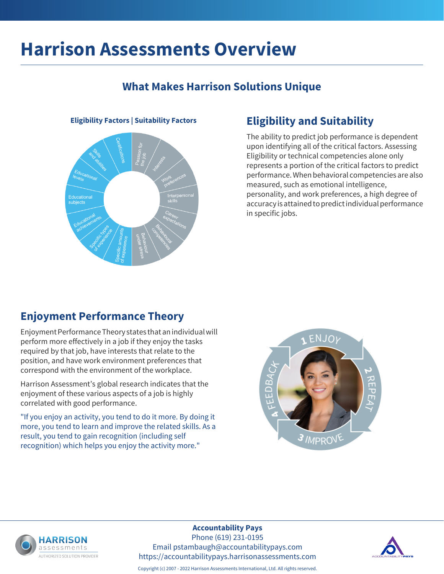### **What Makes Harrison Solutions Unique**

# **Eligibility Factors | Suitability Factors Eligibility and Suitability**

The ability to predict job performance is dependent upon identifying all of the critical factors. Assessing Eligibility or technical competencies alone only represents a portion of the critical factors to predict performance. When behavioral competencies are also measured, such as emotional intelligence, personality, and work preferences, a high degree of accuracy is attained to predict individual performance in specific jobs.

### **Enjoyment Performance Theory**

Enjoyment Performance Theory states that an individual will perform more effectively in a job if they enjoy the tasks required by that job, have interests that relate to the position, and have work environment preferences that correspond with the environment of the workplace.

Harrison Assessment's global research indicates that the enjoyment of these various aspects of a job is highly correlated with good performance.

"If you enjoy an activity, you tend to do it more. By doing it more, you tend to learn and improve the related skills. As a result, you tend to gain recognition (including self recognition) which helps you enjoy the activity more."





#### **Accountability Pays**

Phone (619) 231-0195 Email pstambaugh@accountabilitypays.com https://accountabilitypays.harrisonassessments.com



Copyright (c) 2007 - 2022 Harrison Assessments International, Ltd. All rights reserved.